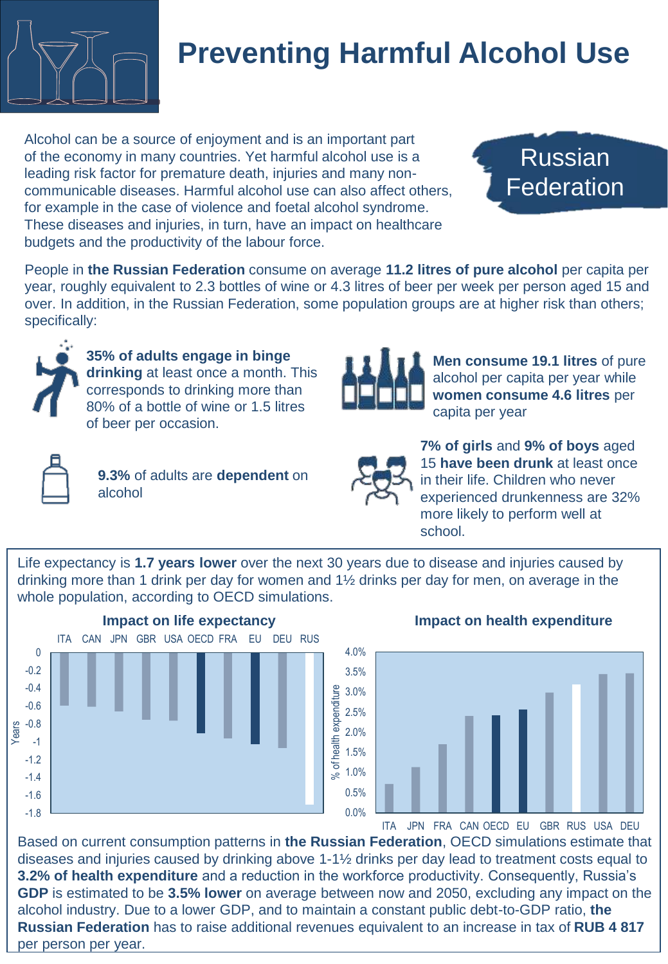

## **Preventing Harmful Alcohol Use**

Alcohol can be a source of enjoyment and is an important part of the economy in many countries. Yet harmful alcohol use is a leading risk factor for premature death, injuries and many noncommunicable diseases. Harmful alcohol use can also affect others, for example in the case of violence and foetal alcohol syndrome. These diseases and injuries, in turn, have an impact on healthcare budgets and the productivity of the labour force.

Russian Federation

People in **the Russian Federation** consume on average **11.2 litres of pure alcohol** per capita per year, roughly equivalent to 2.3 bottles of wine or 4.3 litres of beer per week per person aged 15 and over. In addition, in the Russian Federation, some population groups are at higher risk than others; specifically:



**35% of adults engage in binge drinking** at least once a month. This corresponds to drinking more than 80% of a bottle of wine or 1.5 litres of beer per occasion.



**9.3%** of adults are **dependent** on alcohol



**Men consume 19.1 litres** of pure alcohol per capita per year while **women consume 4.6 litres** per capita per year



**7% of girls** and **9% of boys** aged 15 **have been drunk** at least once in their life. Children who never experienced drunkenness are 32% more likely to perform well at school.

Life expectancy is **1.7 years lower** over the next 30 years due to disease and injuries caused by drinking more than 1 drink per day for women and  $1\frac{1}{2}$  drinks per day for men, on average in the whole population, according to OECD simulations.



## **Impact on health expenditure**



ITA JPN FRA CAN OECD EU GBR RUS USA DEU

Based on current consumption patterns in **the Russian Federation**, OECD simulations estimate that diseases and injuries caused by drinking above 1-1½ drinks per day lead to treatment costs equal to **3.2% of health expenditure** and a reduction in the workforce productivity. Consequently, Russia's **GDP** is estimated to be **3.5% lower** on average between now and 2050, excluding any impact on the alcohol industry. Due to a lower GDP, and to maintain a constant public debt-to-GDP ratio, **the Russian Federation** has to raise additional revenues equivalent to an increase in tax of **RUB 4 817**  per person per year.